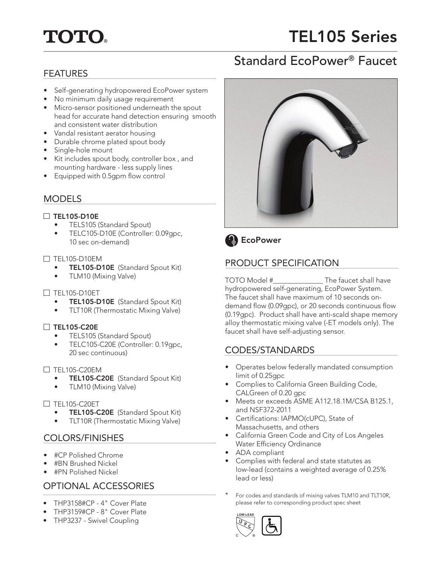# **TOTO.**

# TEL105 Series

## Standard EcoPower® Faucet

## FEATURES

- Self-generating hydropowered EcoPower system
- No minimum daily usage requirement
- Micro-sensor positioned underneath the spout head for accurate hand detection ensuring smooth and consistent water distribution
- Vandal resistant aerator housing
- Durable chrome plated spout body
- Single-hole mount
- Kit includes spout body, controller box , and mounting hardware - less supply lines
- Equipped with 0.5gpm flow control

## **MODELS**

### $\Box$  TEL105-D10E

- TELS105 (Standard Spout)
- TELC105-D10E (Controller: 0.09gpc, 10 sec on-demand)

#### $\square$  TEL105-D10EM

- TEL105-D10E (Standard Spout Kit)
- TLM10 (Mixing Valve)

### $\Box$  TEL105-D10ET

- TEL105-D10E (Standard Spout Kit)
- TLT10R (Thermostatic Mixing Valve)

### $\Box$  TEL105-C20E

- TELS105 (Standard Spout)
- TELC105-C20E (Controller: 0.19gpc, 20 sec continuous)

#### $\Box$  TEL105-C20EM

- TEL105-C20E (Standard Spout Kit)
- TLM10 (Mixing Valve)

#### $\Box$  TEL105-C20ET

- TEL105-C20E (Standard Spout Kit)
- TLT10R (Thermostatic Mixing Valve)

## COLORS/FINISHES

- #CP Polished Chrome
- #BN Brushed Nickel
- #PN Polished Nickel

## OPTIONAL ACCESSORIES

- THP3158#CP 4" Cover Plate
- THP3159#CP 8" Cover Plate
- THP3237 Swivel Coupling





## PRODUCT SPECIFICATION

TOTO Model #\_\_\_\_\_\_\_\_\_\_\_\_\_\_ The faucet shall have hydropowered self-generating, EcoPower System. The faucet shall have maximum of 10 seconds ondemand flow (0.09gpc), or 20 seconds continuous flow (0.19gpc). Product shall have anti-scald shape memory alloy thermostatic mixing valve (-ET models only). The faucet shall have self-adjusting sensor.

## CODES/STANDARDS

- Operates below federally mandated consumption limit of 0.25gpc
- Complies to California Green Building Code, CALGreen of 0.20 gpc
- Meets or exceeds ASME A112.18.1M/CSA B125.1, and NSF372-2011
- Certifications: IAPMO(cUPC), State of Massachusetts, and others
- California Green Code and City of Los Angeles Water Efficiency Ordinance
- ADA compliant
- Complies with federal and state statutes as low-lead (contains a weighted average of 0.25% lead or less)
- For codes and standards of mixing valves TLM10 and TLT10R, please refer to corresponding product spec sheet